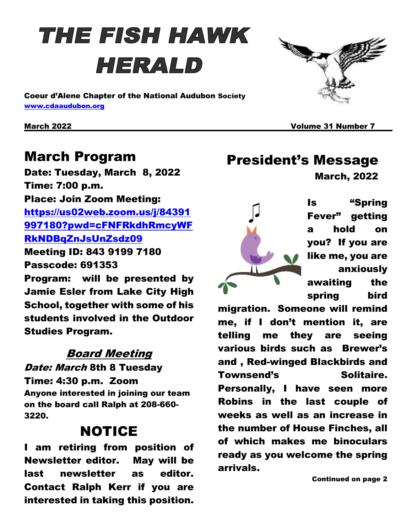# **THE FISH HAWK** HERALD

Coeur d'Alene Chapter of the National Audubon Society [www.cdaaudubon.org](http://www.cdaaudubon.org/)

March 2022 Volume 31 Number 7

#### March Program

Date: Tuesday, March 8, 2022 Time: 7:00 p.m. Place: Join Zoom Meeting: [https://us02web.zoom.us/j/84391](https://us02web.zoom.us/j/84391997180?pwd=cFNFRkdhRmcyWFRkNDBqZnJsUnZsdz09) [997180?pwd=cFNFRkdhRmcyWF](https://us02web.zoom.us/j/84391997180?pwd=cFNFRkdhRmcyWFRkNDBqZnJsUnZsdz09) [RkNDBqZnJsUnZsdz09](https://us02web.zoom.us/j/84391997180?pwd=cFNFRkdhRmcyWFRkNDBqZnJsUnZsdz09) Meeting ID: 843 9199 7180 Passcode: 691353 Program: will be presented by Jamie Esler from Lake City High School, together with some of his students involved in the Outdoor Studies Program.

#### Board Meeting

Date: March 8th 8 Tuesday Time: 4:30 p.m. Zoom Anyone interested in joining our team on the board call Ralph at 208-660- 3220.

#### NOTICE

I am retiring from position of Newsletter editor. May will be last newsletter as editor. Contact Ralph Kerr if you are interested in taking this position.

President's Message

March, 2022

Is "Spring Fever" getting a hold on you? If you are like me, you are anxiously awaiting the spring bird

migration. Someone will remind me, if I don't mention it, are telling me they are seeing various birds such as Brewer's and , Red-winged Blackbirds and Townsend's Solitaire. Personally, I have seen more Robins in the last couple of weeks as well as an increase in the number of House Finches, all of which makes me binoculars ready as you welcome the spring arrivals.

Continued on page 2



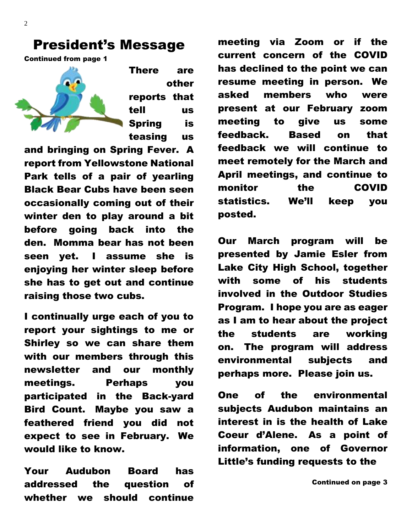#### President's Message

Continued from page 1



There are other reports that tell us Spring is teasing us

and bringing on Spring Fever. A report from Yellowstone National Park tells of a pair of yearling Black Bear Cubs have been seen occasionally coming out of their winter den to play around a bit before going back into the den. Momma bear has not been seen yet. I assume she is enjoying her winter sleep before she has to get out and continue raising those two cubs.

I continually urge each of you to report your sightings to me or Shirley so we can share them with our members through this newsletter and our monthly meetings. Perhaps you participated in the Back-yard Bird Count. Maybe you saw a feathered friend you did not expect to see in February. We would like to know.

Your Audubon Board has addressed the question of whether we should continue

meeting via Zoom or if the current concern of the COVID has declined to the point we can resume meeting in person. We asked members who were present at our February zoom meeting to give us some feedback. Based on that feedback we will continue to meet remotely for the March and April meetings, and continue to monitor the COVID statistics. We'll keep you posted.

Our March program will be presented by Jamie Esler from Lake City High School, together with some of his students involved in the Outdoor Studies Program. I hope you are as eager as I am to hear about the project the students are working on. The program will address environmental subjects and perhaps more. Please join us.

One of the environmental subjects Audubon maintains an interest in is the health of Lake Coeur d'Alene. As a point of information, one of Governor Little's funding requests to the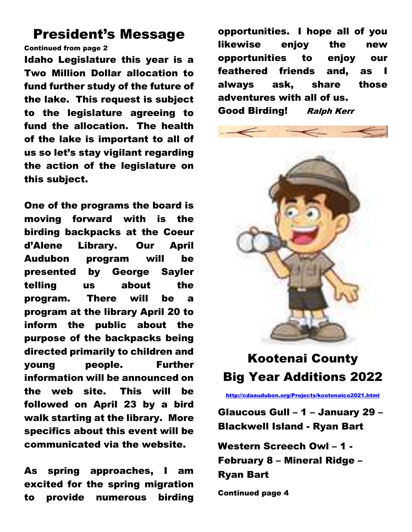#### President's Message

Continued from page 2

Idaho Legislature this year is a Two Million Dollar allocation to fund further study of the future of the lake. This request is subject to the legislature agreeing to fund the allocation. The health of the lake is important to all of us so let's stay vigilant regarding the action of the legislature on this subject.

One of the programs the board is moving forward with is the birding backpacks at the Coeur d'Alene Library. Our April Audubon program will be presented by George Sayler telling us about the program. There will be a program at the library April 20 to inform the public about the purpose of the backpacks being directed primarily to children and young people. Further information will be announced on the web site. This will be followed on April 23 by a bird walk starting at the library. More specifics about this event will be communicated via the website.

As spring approaches, I am excited for the spring migration to provide numerous birding

opportunities. I hope all of you likewise enjoy the new opportunities to enjoy our feathered friends and, as I always ask, share those adventures with all of us. Good Birding! Ralph Kerr



## Kootenai County Big Year Additions 2022

<http://cdaaudubon.org/Projects/kootenaico2021.html>

Glaucous Gull – 1 – January 29 – Blackwell Island - Ryan Bart

Western Screech Owl – 1 - February 8 – Mineral Ridge – Ryan Bart

Continued page 4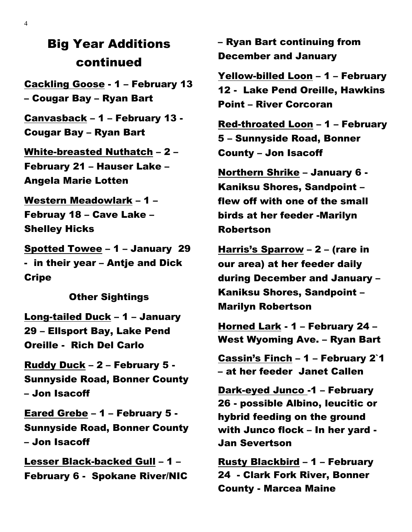#### Big Year Additions continued

Cackling Goose - 1 – February 13 – Cougar Bay – Ryan Bart

Canvasback – 1 – February 13 - Cougar Bay – Ryan Bart

White-breasted Nuthatch – 2 – February 21 – Hauser Lake – Angela Marie Lotten

Western Meadowlark – 1 – Februay 18 – Cave Lake – Shelley Hicks

Spotted Towee – 1 – January 29 - in their year – Antje and Dick **Cripe** 

Other Sightings

Long-tailed Duck – 1 – January 29 – Ellsport Bay, Lake Pend Oreille - Rich Del Carlo

Ruddy Duck – 2 – February 5 - Sunnyside Road, Bonner County – Jon Isacoff

Eared Grebe – 1 – February 5 - Sunnyside Road, Bonner County – Jon Isacoff

Lesser Black-backed Gull – 1 – February 6 - Spokane River/NIC – Ryan Bart continuing from December and January

Yellow-billed Loon – 1 – February 12 - Lake Pend Oreille, Hawkins Point – River Corcoran

Red-throated Loon – 1 – February 5 – Sunnyside Road, Bonner County – Jon Isacoff

Northern Shrike – January 6 - Kaniksu Shores, Sandpoint – flew off with one of the small birds at her feeder -Marilyn Robertson

Harris's Sparrow – 2 – (rare in our area) at her feeder daily during December and January – Kaniksu Shores, Sandpoint – Marilyn Robertson

Horned Lark - 1 – February 24 – West Wyoming Ave. – Ryan Bart

Cassin's Finch – 1 – February 2`1 – at her feeder Janet Callen

Dark-eyed Junco -1 – February 26 - possible Albino, leucitic or hybrid feeding on the ground with Junco flock – In her yard - Jan Severtson

Rusty Blackbird – 1 – February 24 - Clark Fork River, Bonner County - Marcea Maine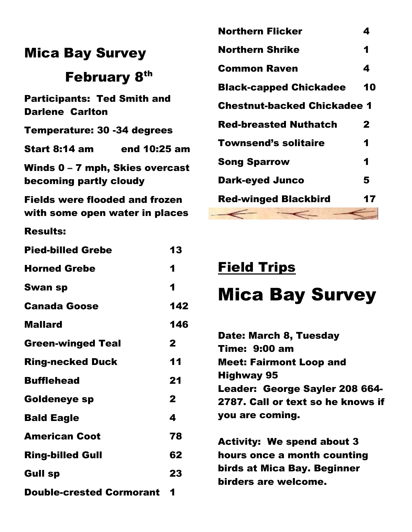|                                                              | IVVI LIIL     |
|--------------------------------------------------------------|---------------|
| <b>Mica Bay Survey</b>                                       | <b>Northe</b> |
| <b>February 8th</b>                                          | Comm          |
|                                                              | <b>Black-</b> |
| <b>Participants: Ted Smith and</b><br><b>Darlene Carlton</b> | <b>Chestr</b> |
| <b>Temperature: 30 -34 degrees</b>                           | <b>Red-br</b> |
| Start 8:14 am<br>end 10:25 am                                | Towns         |
| Winds $0 - 7$ mph, Skies overcast                            | Song S        |
| becoming partly cloudy                                       | Dark-e        |
| <b>Fields were flooded and frozen</b>                        | <b>Red-w</b>  |
| with some open water in places                               |               |
| <b>Results:</b>                                              |               |

| <b>Pied-billed Grebe</b>        | 13           |
|---------------------------------|--------------|
| <b>Horned Grebe</b>             | 1            |
| <b>Swan sp</b>                  | 1            |
| <b>Canada Goose</b>             | 142          |
| <b>Mallard</b>                  | 146          |
| <b>Green-winged Teal</b>        | $\mathbf{2}$ |
| <b>Ring-necked Duck</b>         | 11           |
| <b>Bufflehead</b>               | 21           |
| <b>Goldeneye sp</b>             | $\mathbf{2}$ |
| <b>Bald Eagle</b>               | 4            |
| <b>American Coot</b>            | 78           |
| <b>Ring-billed Gull</b>         | 62           |
| <b>Gull sp</b>                  | 23           |
| <b>Double-crested Cormorant</b> | 1            |

| <b>Northern Flicker</b>            | 4  |
|------------------------------------|----|
| <b>Northern Shrike</b>             | 1  |
| <b>Common Raven</b>                | 4  |
| <b>Black-capped Chickadee</b>      | 10 |
| <b>Chestnut-backed Chickadee 1</b> |    |
| <b>Red-breasted Nuthatch</b>       | 2  |
| <b>Townsend's solitaire</b>        | 1  |
| <b>Song Sparrow</b>                | 1  |
| <b>Dark-eyed Junco</b>             | 5  |
| <b>Red-winged Blackbird</b>        | 17 |
| --                                 |    |

### Field Trips

# Mica Bay Survey

| Date: March 8, Tuesday<br><b>Time: 9:00 am</b> |
|------------------------------------------------|
| <b>Meet: Fairmont Loop and</b>                 |
| <b>Highway 95</b>                              |
| Leader: George Sayler 208 664-                 |
| 2787. Call or text so he knows if              |
| you are coming.                                |
|                                                |
| <b>Activity: We spend about 3</b>              |

hours once a month counting birds at Mica Bay. Beginner birders are welcome.